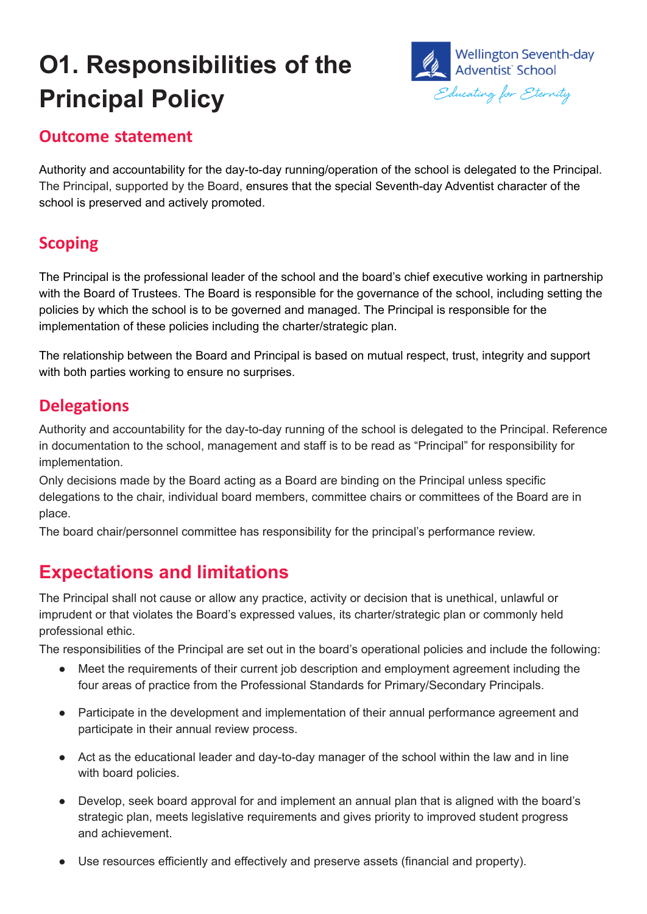# **O1. Responsibilities of the Principal Policy**



#### **Outcome statement**

Authority and accountability for the day-to-day running/operation of the school is delegated to the Principal. The Principal, supported by the Board, ensures that the special Seventh-day Adventist character of the school is preserved and actively promoted.

## **Scoping**

The Principal is the professional leader of the school and the board's chief executive working in partnership with the Board of Trustees. The Board is responsible for the governance of the school, including setting the policies by which the school is to be governed and managed. The Principal is responsible for the implementation of these policies including the charter/strategic plan.

The relationship between the Board and Principal is based on mutual respect, trust, integrity and support with both parties working to ensure no surprises.

#### **Delegations**

Authority and accountability for the day-to-day running of the school is delegated to the Principal. Reference in documentation to the school, management and staff is to be read as "Principal" for responsibility for implementation.

Only decisions made by the Board acting as a Board are binding on the Principal unless specific delegations to the chair, individual board members, committee chairs or committees of the Board are in place.

The board chair/personnel committee has responsibility for the principal's performance review.

# **Expectations and limitations**

The Principal shall not cause or allow any practice, activity or decision that is unethical, unlawful or imprudent or that violates the Board's expressed values, its charter/strategic plan or commonly held professional ethic.

The responsibilities of the Principal are set out in the board's operational policies and include the following:

- Meet the requirements of their current job description and employment agreement including the four areas of practice from the Professional Standards for Primary/Secondary Principals.
- Participate in the development and implementation of their annual performance agreement and participate in their annual review process.
- Act as the educational leader and day-to-day manager of the school within the law and in line with board policies.
- Develop, seek board approval for and implement an annual plan that is aligned with the board's strategic plan, meets legislative requirements and gives priority to improved student progress and achievement.
- Use resources efficiently and effectively and preserve assets (financial and property).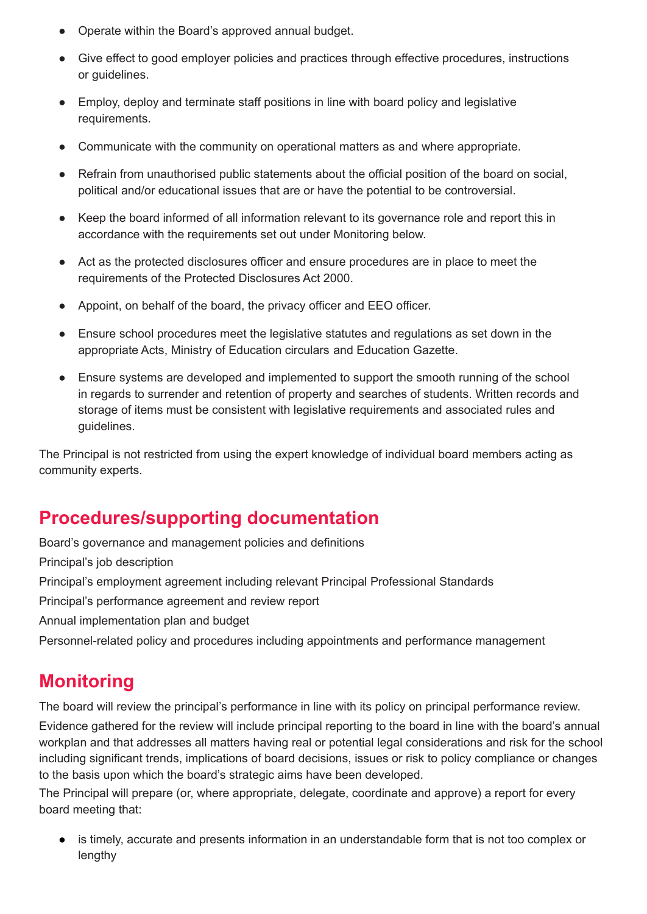- Operate within the Board's approved annual budget.
- Give effect to good employer policies and practices through effective procedures, instructions or guidelines.
- Employ, deploy and terminate staff positions in line with board policy and legislative requirements.
- Communicate with the community on operational matters as and where appropriate.
- Refrain from unauthorised public statements about the official position of the board on social, political and/or educational issues that are or have the potential to be controversial.
- Keep the board informed of all information relevant to its governance role and report this in accordance with the requirements set out under Monitoring below.
- Act as the protected disclosures officer and ensure procedures are in place to meet the requirements of the Protected Disclosures Act 2000.
- Appoint, on behalf of the board, the privacy officer and EEO officer.
- Ensure school procedures meet the legislative statutes and regulations as set down in the appropriate Acts, Ministry of Education circulars and Education Gazette.
- Ensure systems are developed and implemented to support the smooth running of the school in regards to surrender and retention of property and searches of students. Written records and storage of items must be consistent with legislative requirements and associated rules and guidelines.

The Principal is not restricted from using the expert knowledge of individual board members acting as community experts.

## **Procedures/supporting documentation**

Board's governance and management policies and definitions

Principal's job description

Principal's employment agreement including relevant Principal Professional Standards

Principal's performance agreement and review report

Annual implementation plan and budget

Personnel-related policy and procedures including appointments and performance management

## **Monitoring**

The board will review the principal's performance in line with its policy on principal performance review.

Evidence gathered for the review will include principal reporting to the board in line with the board's annual workplan and that addresses all matters having real or potential legal considerations and risk for the school including significant trends, implications of board decisions, issues or risk to policy compliance or changes to the basis upon which the board's strategic aims have been developed.

The Principal will prepare (or, where appropriate, delegate, coordinate and approve) a report for every board meeting that:

● is timely, accurate and presents information in an understandable form that is not too complex or lengthy